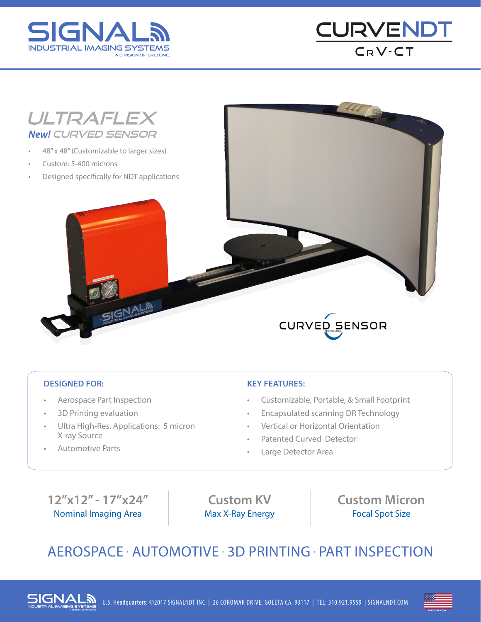





### **DESIGNED FOR:**

- Aerospace Part Inspection
- 3D Printing evaluation
- Ultra High-Res. Applications: 5 micron X-ray Source
- Automotive Parts

### **KEY FEATURES:**

- Customizable, Portable, & Small Footprint
- Encapsulated scanning DR Technology
- Vertical or Horizontal Orientation
- Patented Curved Detector
- Large Detector Area

### **12"x12" - 17"x24"** Nominal Imaging Area

**Custom KV** Max X-Ray Energy **Custom Micron** Focal Spot Size

## AEROSPACE . AUTOMOTIVE . 3D PRINTING . PART INSPECTION